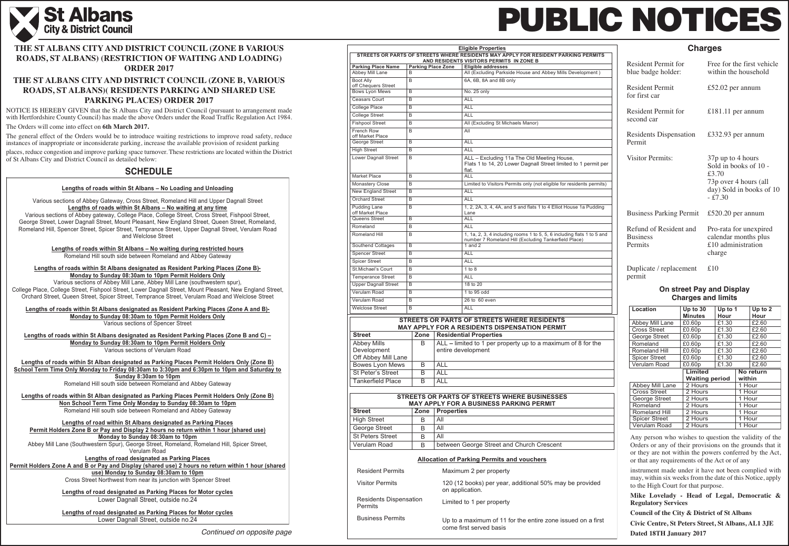

|                                                          |                           |                   | <b>Eligible Properties</b>                                                                                            |
|----------------------------------------------------------|---------------------------|-------------------|-----------------------------------------------------------------------------------------------------------------------|
|                                                          |                           |                   | STREETS OR PARTS OF STREETS WHERE RESIDENTS MAY APPLY FOR RESIDENT PARKING PERMITS                                    |
| <b>Parking Place Name</b>                                | <b>Parking Place Zone</b> |                   | AND RESIDENTS VISITORS PERMITS IN ZONE B<br><b>Eligible addresses</b>                                                 |
| Abbey Mill Lane                                          | в                         |                   | All (Excluding Parkside House and Abbey Mills Development)                                                            |
| Boot Ally                                                | B                         |                   | 6A, 6B, 8A and 8B only                                                                                                |
| off Chequers Street                                      |                           |                   |                                                                                                                       |
| <b>Bows Lyon Mews</b>                                    | B                         |                   | No. 25 only                                                                                                           |
| <b>Ceasars Court</b>                                     | В                         |                   | <b>ALL</b>                                                                                                            |
| College Place                                            | B                         |                   | <b>ALL</b>                                                                                                            |
| College Street                                           | B                         |                   | <b>ALL</b>                                                                                                            |
| <b>Fishpool Street</b>                                   | B                         |                   | All (Excluding St Michaels Manor)                                                                                     |
| <b>French Row</b><br>off Market Place                    | B                         |                   | All                                                                                                                   |
| George Street                                            | в                         |                   | ALL                                                                                                                   |
| <b>High Street</b>                                       | B                         |                   | <b>ALL</b>                                                                                                            |
| Lower Dagnall Street                                     | B                         |                   | ALL - Excluding 11a The Old Meeting House,<br>Flats 1 to 14, 20 Lower Dagnall Street limited to 1 permit per<br>flat. |
| <b>Market Place</b>                                      | B                         |                   | <b>ALL</b>                                                                                                            |
| <b>Monastery Close</b>                                   | B                         |                   | Limited to Visitors Permits only (not eligible for residents permits)                                                 |
| <b>New England Street</b>                                | В                         |                   | <b>ALL</b>                                                                                                            |
| <b>Orchard Street</b>                                    | B                         |                   | <b>ALL</b>                                                                                                            |
| <b>Pudding Lane</b>                                      | B                         |                   | 1, 2, 2A, 3, 4, 4A, and 5 and flats 1 to 4 Elliot House 1a Pudding                                                    |
| off Market Place<br>Queens Street                        | B                         |                   | Lane<br><b>ALL</b>                                                                                                    |
| Romeland                                                 | B                         |                   | <b>ALL</b>                                                                                                            |
| Romeland Hill                                            | B                         |                   | 1, 1a, 2, 3, 4 including rooms 1 to 5, 5, 6 including flats 1 to 5 and                                                |
|                                                          |                           |                   | number 7 Romeland Hill (Excluding Tankerfield Place)                                                                  |
| Southend Cottages                                        | В                         |                   | 1 and $2$                                                                                                             |
| <b>Spencer Street</b>                                    | B                         |                   | <b>ALL</b>                                                                                                            |
| <b>Spicer Street</b>                                     | B                         |                   | ALL                                                                                                                   |
| St.Michael's Court                                       | B                         |                   | $1$ to $8$                                                                                                            |
| <b>Temperance Street</b>                                 | B                         |                   | <b>ALL</b>                                                                                                            |
| <b>Upper Dagnall Street</b>                              | B                         |                   | 18 to 20                                                                                                              |
| Verulam Road                                             | B                         |                   | 1 to 95 odd                                                                                                           |
| Verulam Road                                             | B                         |                   | 26 to 60 even                                                                                                         |
| <b>Welclose Street</b>                                   | B                         |                   | ALL                                                                                                                   |
|                                                          |                           |                   | <b>STREETS OR PARTS OF STREETS WHERE RESIDENTS</b>                                                                    |
|                                                          |                           |                   | MAY APPLY FOR A RESIDENTS DISPENSATION PERMIT                                                                         |
| <b>Street</b>                                            | Zone                      |                   | <b>Residential Properties</b>                                                                                         |
| <b>Abbey Mills</b><br>Development<br>Off Abbey Mill Lane | B                         |                   | ALL - limited to 1 per property up to a maximum of 8 for the<br>entire development                                    |
| <b>Bowes Lyon Mews</b>                                   | B                         | <b>ALL</b>        |                                                                                                                       |
| <b>St Peter's Street</b>                                 | B                         | <b>ALL</b>        |                                                                                                                       |
| <b>Tankerfield Place</b>                                 | B                         | <b>ALL</b>        |                                                                                                                       |
|                                                          |                           |                   |                                                                                                                       |
|                                                          |                           |                   | <b>STREETS OR PARTS OF STREETS WHERE BUSINESSES</b><br><b>MAY APPLY FOR A BUSINESS PARKING PERMIT</b>                 |
| <b>Street</b>                                            | Zone                      | <b>Properties</b> |                                                                                                                       |
| <b>High Street</b>                                       | В                         | All               |                                                                                                                       |
| George Street                                            | B                         | All               |                                                                                                                       |
| <b>St Peters Street</b>                                  | B                         | $\overline{All}$  |                                                                                                                       |
| <b>Verulam Road</b>                                      | B                         |                   | between George Street and Church Crescent                                                                             |
|                                                          |                           |                   | <b>Allocation of Parking Permits and vouchers</b>                                                                     |
| <b>Resident Permits</b>                                  |                           |                   | Maximum 2 per property                                                                                                |
| <b>Visitor Permits</b>                                   |                           |                   | 120 (12 books) per year, additional 50% may be provided<br>on application.                                            |
| <b>Residents Dispensation</b><br><b>Permits</b>          |                           |                   | Limited to 1 per property                                                                                             |
| <b>Business Permits</b>                                  |                           |                   | Up to a maximum of 11 for the entire zone issued on a first<br>come first served basis                                |

# **PUBLIC NOTICES** l

| Location             | Up to 30<br>Up to 1   |       |           | Up to 2 |  |
|----------------------|-----------------------|-------|-----------|---------|--|
|                      | <b>Minutes</b>        | Hour  |           | Hour    |  |
| Abbey Mill Lane      | £0.60p                | £1.30 |           | £2.60   |  |
| <b>Cross Street</b>  | £0.60p                | £1.30 |           | £2.60   |  |
| George Street        | £0.60p                | £1.30 |           | £2.60   |  |
| Romeland             | £0.60p                | £1.30 |           | £2.60   |  |
| Romeland Hill        | £0.60p                | £1.30 |           | £2.60   |  |
| <b>Spicer Street</b> | £0.60p                | £1.30 |           | £2.60   |  |
| Verulam Road         | £0.60p                | £1.30 |           | £2.60   |  |
|                      | Limited               |       | No return |         |  |
|                      | <b>Waiting period</b> |       | within    |         |  |
| Abbey Mill Lane      | 2 Hours               |       | 1 Hour    |         |  |
| <b>Cross Street</b>  | 2 Hours               |       | 1 Hour    |         |  |
| George Street        | 2 Hours               |       | 1 Hour    |         |  |
| Romeland             | 2 Hours               |       | 1 Hour    |         |  |
| <b>Romeland Hill</b> | 2 Hours               |       | 1 Hour    |         |  |
| <b>Spicer Street</b> | 2 Hours               |       | 1 Hour    |         |  |
| <b>Verulam Road</b>  | 2 Hours               |       |           | 1 Hour  |  |

37p up to 4 hours Sold in books of 10 - £3.70 73p over 4 hours (all day) Sold in books of 10  $-$ £7.30

NOTICE IS HEREBY GIVEN that the St Albans City and District Council (pursuant to arrangement made with Hertfordshire County Council) has made the above Orders under the Road Traffic Regulation Act 1984.

#### **On street Pay and Display Charges and limits**

### **Charges**

Any person who wishes to question the validity of the Orders or any of their provisions on the grounds that it or they are not within the powers conferred by the Act, or that any requirements of the Act or of any

instrument made under it have not been complied with may, within six weeks from the date of this Notice, apply to the High Court for that purpose.

**Mike Lovelady - Head of Legal, Democratic & Regulatory Services**

**Council of the City & District of St Albans**

**Civic Centre, St Peters Street, St Albans, AL1 3JE Dated 18TH January 2017**

Resident Permit for blue badge holder:

Resident Permit for first car

Resident Permit for second car

Residents Dispensation Permit

Visitor Permits:

Refund of Resident and Business Permits

permit

Free for the first vehicle within the household

£52.02 per annum

Business Parking Permit £520.20 per annum

£181.11 per annum

£332.93 per annum

Duplicate / replacement £10

Pro-rata for unexpired calendar months plus £10 administration

charge

## **SCHEDULE**

### **THE ST ALBANS CITY AND DISTRICT COUNCIL (ZONE B VARIOUS ROADS, ST ALBANS) (RESTRICTION OF WAITING AND LOADING) ORDER 2017**

### **THE ST ALBANS CITY AND DISTRICT COUNCIL (ZONE B, VARIOUS ROADS, ST ALBANS)( RESIDENTS PARKING AND SHARED USE PARKING PLACES) ORDER 2017**

#### The Orders will come into effect on **6th March 2017.**

The general effect of the Orders would be to introduce waiting restrictions to improve road safety, reduce instances of inappropriate or inconsiderate parking, increase the available provision of resident parking T

places, reduce congestion and improve parking space turnover. These restrictions are located within the District of St Albans City and District Council as detailed below:

| <b>SIDENT PARKING PERMITS</b>                              |  |
|------------------------------------------------------------|--|
| Abbey Mills Development)                                   |  |
|                                                            |  |
|                                                            |  |
|                                                            |  |
|                                                            |  |
| eeting House,<br>Street limited to 1 permit per            |  |
| t eligible for residents permits)                          |  |
| to 4 Elliot House 1a Pudding                               |  |
| 5, 5, 6 including flats 1 to 5 and<br>g Tankerfield Place) |  |
|                                                            |  |
|                                                            |  |
|                                                            |  |
|                                                            |  |
| <b>SIDENTS</b><br><b>I PERMIT</b>                          |  |
| maximum of 8 for the                                       |  |
|                                                            |  |
|                                                            |  |
| <b>INESSES</b>                                             |  |
| <b>RMIT</b>                                                |  |
|                                                            |  |
| c <del>rescent</del>                                       |  |
| <u>rs</u>                                                  |  |
| 50% may be provided                                        |  |
|                                                            |  |
|                                                            |  |

#### **Lengths of roads within St Albans – No Loading and Unloading**

Various sections of Abbey Gateway, Cross Street, Romeland Hill and Upper Dagnall Street **Lengths of roads within St Albans – No waiting at any time** 

Various sections of Abbey gateway, College Place, College Street, Cross Street, Fishpool Street, George Street, Lower Dagnall Street, Mount Pleasant, New England Street, Queen Street, Romeland, Romeland Hill, Spencer Street, Spicer Street, Temprance Street, Upper Dagnall Street, Verulam Road and Welclose Street

**Lengths of roads within St Albans – No waiting during restricted hours** 

Romeland Hill south side between Romeland and Abbey Gateway

**Lengths of roads within St Albans designated as Resident Parking Places (Zone B)- Monday to Sunday 08:30am to 10pm Permit Holders Only**  Various sections of Abbey Mill Lane, Abbey Mill Lane (southwestern spur),

College Place, College Street, Fishpool Street, Lower Dagnall Street, Mount Pleasant, New England Street, Orchard Street, Queen Street, Spicer Street, Temprance Street, Verulam Road and Welclose Street

**Lengths of roads within St Albans designated as Resident Parking Places (Zone A and B)- Monday to Sunday 08:30am to 10pm Permit Holders Only** 

Various sections of Spencer Street

**Lengths of roads within St Albans designated as Resident Parking Places (Zone B and C) – Monday to Sunday 08:30am to 10pm Permit Holders Only**  Various sections of Verulam Road

**Lengths of roads within St Alban designated as Parking Places Permit Holders Only (Zone B) School Term Time Only Monday to Friday 08:30am to 3:30pm and 6:30pm to 10pm and Saturday to Sunday 8:30am to 10pm**  Romeland Hill south side between Romeland and Abbey Gateway

**Lengths of roads within St Alban designated as Parking Places Permit Holders Only (Zone B) Non School Term Time Only Monday to Sunday 08:30am to 10pm**  Romeland Hill south side between Romeland and Abbey Gateway

**Lengths of road within St Albans designated as Parking Places Permit Holders Zone B or Pay and Display 2 hours no return within 1 hour (shared use) Monday to Sunday 08:30am to 10pm**  Abbey Mill Lane (Southwestern Spur), George Street, Romeland, Romeland Hill, Spicer Street, Verulam Road **Lengths of road designated as Parking Places** 

**Permit Holders Zone A and B or Pay and Display (shared use) 2 hours no return within 1 hour (shared use) Monday to Sunday 08:30am to 10pm**  Cross Street Northwest from near its junction with Spencer Street

> **Lengths of road designated as Parking Places for Motor cycles** Lower Dagnall Street, outside no.24

> **Lengths of road designated as Parking Places for Motor cycles**

Lower Dagnall Street, outside no.24

*Continued on opposite page*